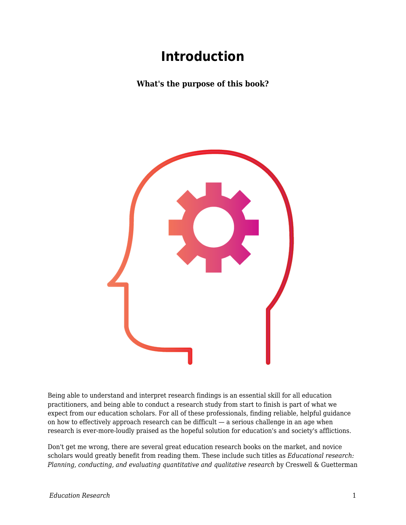## **Introduction**

**What's the purpose of this book?**



Being able to understand and interpret research findings is an essential skill for all education practitioners, and being able to conduct a research study from start to finish is part of what we expect from our education scholars. For all of these professionals, finding reliable, helpful guidance on how to effectively approach research can be difficult — a serious challenge in an age when research is ever-more-loudly praised as the hopeful solution for education's and society's afflictions.

Don't get me wrong, there are several great education research books on the market, and novice scholars would greatly benefit from reading them. These include such titles as *Educational research: Planning, conducting, and evaluating quantitative and qualitative research* by Creswell & Guetterman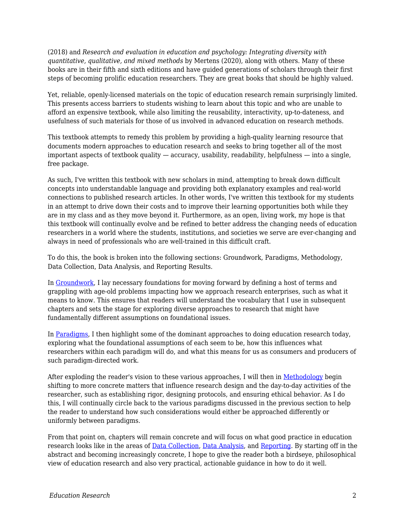(2018) and *Research and evaluation in education and psychology: Integrating diversity with quantitative, qualitative, and mixed methods* by Mertens (2020), along with others. Many of these books are in their fifth and sixth editions and have guided generations of scholars through their first steps of becoming prolific education researchers. They are great books that should be highly valued.

Yet, reliable, openly-licensed materials on the topic of education research remain surprisingly limited. This presents access barriers to students wishing to learn about this topic and who are unable to afford an expensive textbook, while also limiting the reusability, interactivity, up-to-dateness, and usefulness of such materials for those of us involved in advanced education on research methods.

This textbook attempts to remedy this problem by providing a high-quality learning resource that documents modern approaches to education research and seeks to bring together all of the most important aspects of textbook quality — accuracy, usability, readability, helpfulness — into a single, free package.

As such, I've written this textbook with new scholars in mind, attempting to break down difficult concepts into understandable language and providing both explanatory examples and real-world connections to published research articles. In other words, I've written this textbook for my students in an attempt to drive down their costs and to improve their learning opportunities both while they are in my class and as they move beyond it. Furthermore, as an open, living work, my hope is that this textbook will continually evolve and be refined to better address the changing needs of education researchers in a world where the students, institutions, and societies we serve are ever-changing and always in need of professionals who are well-trained in this difficult craft.

To do this, the book is broken into the following sections: Groundwork, Paradigms, Methodology, Data Collection, Data Analysis, and Reporting Results.

In [Groundwork](https://edtechbooks.org/education_research/groundwork), I lay necessary foundations for moving forward by defining a host of terms and grappling with age-old problems impacting how we approach research enterprises, such as what it means to know. This ensures that readers will understand the vocabulary that I use in subsequent chapters and sets the stage for exploring diverse approaches to research that might have fundamentally different assumptions on foundational issues.

In [Paradigms,](https://edtechbooks.org/education_research/paradigms) I then highlight some of the dominant approaches to doing education research today, exploring what the foundational assumptions of each seem to be, how this influences what researchers within each paradigm will do, and what this means for us as consumers and producers of such paradigm-directed work.

After exploding the reader's vision to these various approaches, I will then in [Methodology](https://edtechbooks.org/education_research/methodology) begin shifting to more concrete matters that influence research design and the day-to-day activities of the researcher, such as establishing rigor, designing protocols, and ensuring ethical behavior. As I do this, I will continually circle back to the various paradigms discussed in the previous section to help the reader to understand how such considerations would either be approached differently or uniformly between paradigms.

From that point on, chapters will remain concrete and will focus on what good practice in education research looks like in the areas of [Data Collection](https://edtechbooks.org/education_research/data_collection), [Data Analysis,](https://edtechbooks.org/education_research/data_analysis) and [Reporting.](https://edtechbooks.org/education_research/reporting) By starting off in the abstract and becoming increasingly concrete, I hope to give the reader both a birdseye, philosophical view of education research and also very practical, actionable guidance in how to do it well.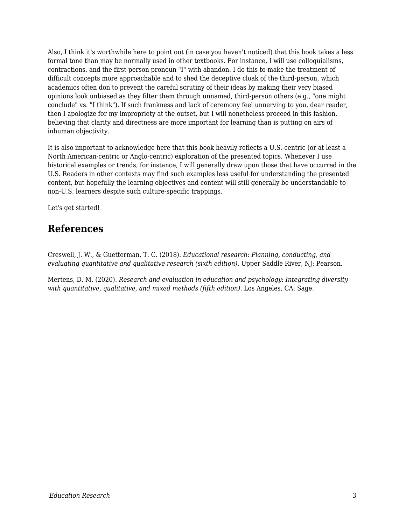Also, I think it's worthwhile here to point out (in case you haven't noticed) that this book takes a less formal tone than may be normally used in other textbooks. For instance, I will use colloquialisms, contractions, and the first-person pronoun "I" with abandon. I do this to make the treatment of difficult concepts more approachable and to shed the deceptive cloak of the third-person, which academics often don to prevent the careful scrutiny of their ideas by making their very biased opinions look unbiased as they filter them through unnamed, third-person others (e.g., "one might conclude" vs. "I think"). If such frankness and lack of ceremony feel unnerving to you, dear reader, then I apologize for my impropriety at the outset, but I will nonetheless proceed in this fashion, believing that clarity and directness are more important for learning than is putting on airs of inhuman objectivity.

It is also important to acknowledge here that this book heavily reflects a U.S.-centric (or at least a North American-centric or Anglo-centric) exploration of the presented topics. Whenever I use historical examples or trends, for instance, I will generally draw upon those that have occurred in the U.S. Readers in other contexts may find such examples less useful for understanding the presented content, but hopefully the learning objectives and content will still generally be understandable to non-U.S. learners despite such culture-specific trappings.

Let's get started!

## **References**

Creswell, J. W., & Guetterman, T. C. (2018). *Educational research: Planning, conducting, and evaluating quantitative and qualitative research (sixth edition)*. Upper Saddle River, NJ: Pearson.

Mertens, D. M. (2020). *Research and evaluation in education and psychology: Integrating diversity with quantitative, qualitative, and mixed methods (fifth edition)*. Los Angeles, CA: Sage.